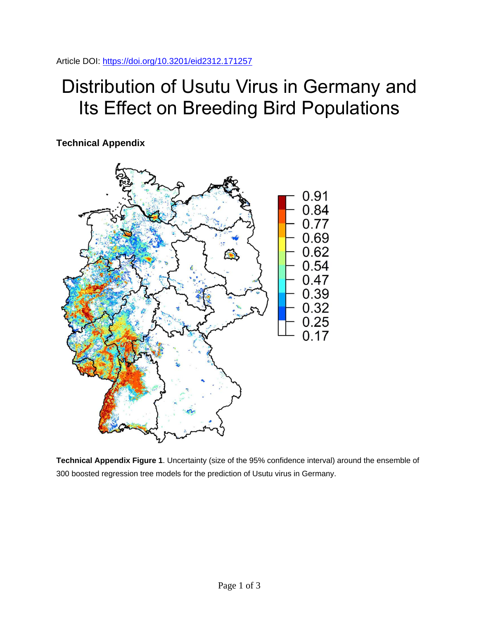Article DOI:<https://doi.org/10.3201/eid2312.171257>

## Distribution of Usutu Virus in Germany and Its Effect on Breeding Bird Populations

**Technical Appendix**



**Technical Appendix Figure 1**. Uncertainty (size of the 95% confidence interval) around the ensemble of 300 boosted regression tree models for the prediction of Usutu virus in Germany.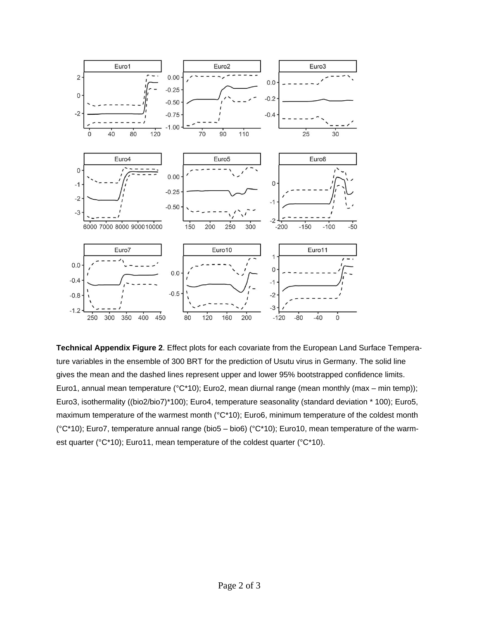

**Technical Appendix Figure 2**. Effect plots for each covariate from the European Land Surface Temperature variables in the ensemble of 300 BRT for the prediction of Usutu virus in Germany. The solid line gives the mean and the dashed lines represent upper and lower 95% bootstrapped confidence limits. Euro1, annual mean temperature (°C\*10); Euro2, mean diurnal range (mean monthly (max – min temp)); Euro3, isothermality ((bio2/bio7)\*100); Euro4, temperature seasonality (standard deviation \* 100); Euro5, maximum temperature of the warmest month (°C\*10); Euro6, minimum temperature of the coldest month (°C\*10); Euro7, temperature annual range (bio5 – bio6) (°C\*10); Euro10, mean temperature of the warmest quarter (°C\*10); Euro11, mean temperature of the coldest quarter (°C\*10).